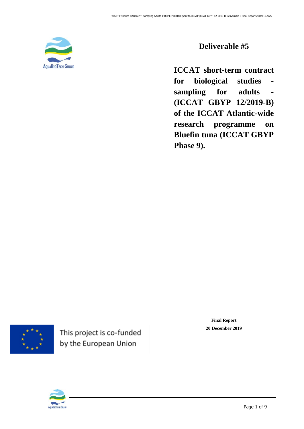

### **Deliverable #5**

**ICCAT short-term contract for biological studies sampling for adults - (ICCAT GBYP 12/2019-B) of the ICCAT Atlantic-wide research programme on Bluefin tuna (ICCAT GBYP Phase 9).**



<span id="page-0-0"></span>This project is co-funded by the European Union

**Final Report 20 December 2019**

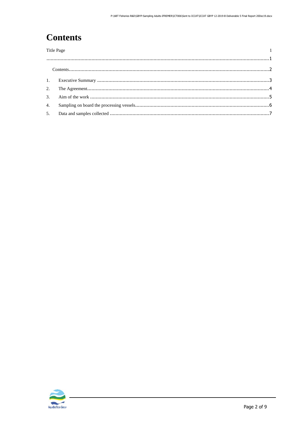# <span id="page-1-0"></span>**Contents**

| <b>Title Page</b> |  |  |
|-------------------|--|--|
|                   |  |  |
|                   |  |  |
|                   |  |  |
|                   |  |  |
|                   |  |  |
|                   |  |  |
|                   |  |  |
|                   |  |  |
|                   |  |  |

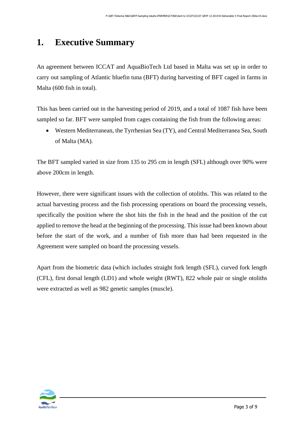### <span id="page-2-0"></span>**1. Executive Summary**

An agreement between ICCAT and AquaBioTech Ltd based in Malta was set up in order to carry out sampling of Atlantic bluefin tuna (BFT) during harvesting of BFT caged in farms in Malta (600 fish in total).

This has been carried out in the harvesting period of 2019, and a total of 1087 fish have been sampled so far. BFT were sampled from cages containing the fish from the following areas:

• Western Mediterranean, the Tyrrhenian Sea (TY), and Central Mediterranea Sea, South of Malta (MA).

The BFT sampled varied in size from 135 to 295 cm in length (SFL) although over 90% were above 200cm in length.

However, there were significant issues with the collection of otoliths. This was related to the actual harvesting process and the fish processing operations on board the processing vessels, specifically the position where the shot hits the fish in the head and the position of the cut applied to remove the head at the beginning of the processing. This issue had been known about before the start of the work, and a number of fish more than had been requested in the Agreement were sampled on board the processing vessels.

Apart from the biometric data (which includes straight fork length (SFL), curved fork length (CFL), first dorsal length (LD1) and whole weight (RWT), 822 whole pair or single otoliths were extracted as well as 982 genetic samples (muscle).

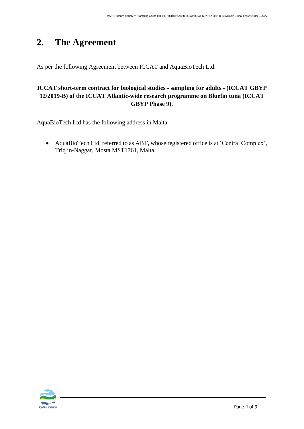# <span id="page-3-0"></span>**2. The Agreement**

As per the following Agreement between ICCAT and AquaBioTech Ltd:

#### **ICCAT short-term contract for biological studies - sampling for adults - (ICCAT GBYP 12/2019-B) of the ICCAT Atlantic-wide research programme on Bluefin tuna (ICCAT GBYP Phase 9).**

AquaBioTech Ltd has the following address in Malta:

• AquaBioTech Ltd, referred to as ABT**,** whose registered office is at 'Central Complex', Triq in-Naggar, Mosta MST1761, Malta.

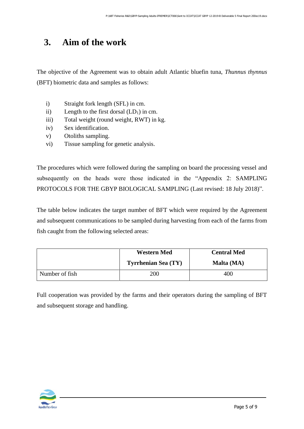### <span id="page-4-0"></span>**3. Aim of the work**

The objective of the Agreement was to obtain adult Atlantic bluefin tuna, *Thunnus thynnus* (BFT) biometric data and samples as follows:

- i) Straight fork length (SFL) in cm.
- ii) Length to the first dorsal  $(LD_1)$  in cm.
- iii) Total weight (round weight, RWT) in kg.
- iv) Sex identification.
- v) Otoliths sampling.
- vi) Tissue sampling for genetic analysis.

The procedures which were followed during the sampling on board the processing vessel and subsequently on the heads were those indicated in the "Appendix 2: SAMPLING PROTOCOLS FOR THE GBYP BIOLOGICAL SAMPLING (Last revised: 18 July 2018)".

The table below indicates the target number of BFT which were required by the Agreement and subsequent communications to be sampled during harvesting from each of the farms from fish caught from the following selected areas:

|                | <b>Western Med</b>         | <b>Central Med</b> |  |
|----------------|----------------------------|--------------------|--|
|                | <b>Tyrrhenian Sea (TY)</b> | Malta (MA)         |  |
| Number of fish | 200                        | 400                |  |

Full cooperation was provided by the farms and their operators during the sampling of BFT and subsequent storage and handling.

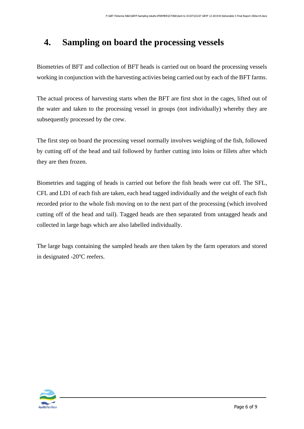### <span id="page-5-0"></span>**4. Sampling on board the processing vessels**

Biometries of BFT and collection of BFT heads is carried out on board the processing vessels working in conjunction with the harvesting activies being carried out by each of the BFT farms.

The actual process of harvesting starts when the BFT are first shot in the cages, lifted out of the water and taken to the processing vessel in groups (not individually) whereby they are subsequently processed by the crew.

The first step on board the processing vessel normally involves weighing of the fish, followed by cutting off of the head and tail followed by further cutting into loins or fillets after which they are then frozen.

Biometries and tagging of heads is carried out before the fish heads were cut off. The SFL, CFL and LD1 of each fish are taken, each head tagged individually and the weight of each fish recorded prior to the whole fish moving on to the next part of the processing (which involved cutting off of the head and tail). Tagged heads are then separated from untagged heads and collected in large bags which are also labelled individually.

The large bags containing the sampled heads are then taken by the farm operators and stored in designated -20<sup>o</sup>C reefers.

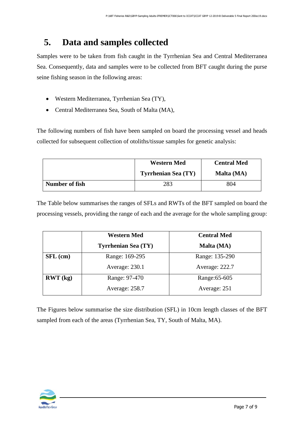## <span id="page-6-0"></span>**5. Data and samples collected**

Samples were to be taken from fish caught in the Tyrrhenian Sea and Central Mediterranea Sea. Consequently, data and samples were to be collected from BFT caught during the purse seine fishing season in the following areas:

- Western Mediterranea, Tyrrhenian Sea (TY),
- Central Mediterranea Sea, South of Malta (MA),

The following numbers of fish have been sampled on board the processing vessel and heads collected for subsequent collection of otoliths/tissue samples for genetic analysis:

|                | <b>Western Med</b>         | <b>Central Med</b> |  |
|----------------|----------------------------|--------------------|--|
|                | <b>Tyrrhenian Sea (TY)</b> | Malta (MA)         |  |
| Number of fish | 283                        | 804                |  |

The Table below summarises the ranges of SFLs and RWTs of the BFT sampled on board the processing vessels, providing the range of each and the average for the whole sampling group:

|            | <b>Western Med</b>         | <b>Central Med</b> |
|------------|----------------------------|--------------------|
|            | <b>Tyrrhenian Sea (TY)</b> | Malta (MA)         |
| $SFL$ (cm) | Range: 169-295             | Range: 135-290     |
|            | Average: 230.1             | Average: 222.7     |
| RWT (kg)   | Range: 97-470              | Range: 65-605      |
|            | Average: 258.7             | Average: 251       |

The Figures below summarise the size distribution (SFL) in 10cm length classes of the BFT sampled from each of the areas (Tyrrhenian Sea, TY, South of Malta, MA).

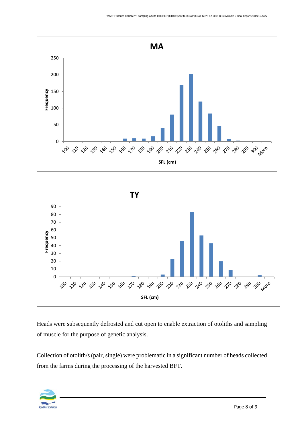



Heads were subsequently defrosted and cut open to enable extraction of otoliths and sampling of muscle for the purpose of genetic analysis.

Collection of otolith/s (pair, single) were problematic in a significant number of heads collected from the farms during the processing of the harvested BFT.